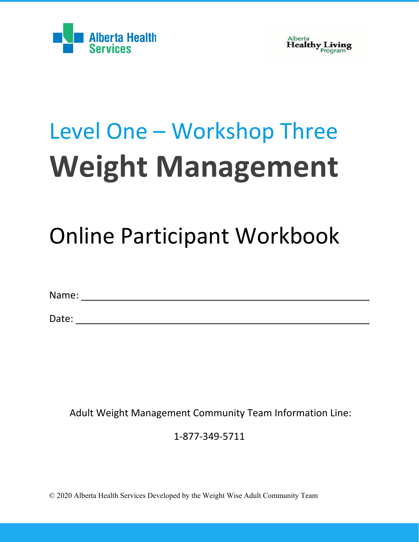



# Level One – Workshop Three **Weight Management**

## Online Participant Workbook

Name:

Date: when the contract of the contract of the contract of the contract of the contract of the contract of the contract of the contract of the contract of the contract of the contract of the contract of the contract of the

Adult Weight Management Community Team Information Line:

1-877-349-5711

© 2020 Alberta Health Services Developed by the Weight Wise Adult Community Team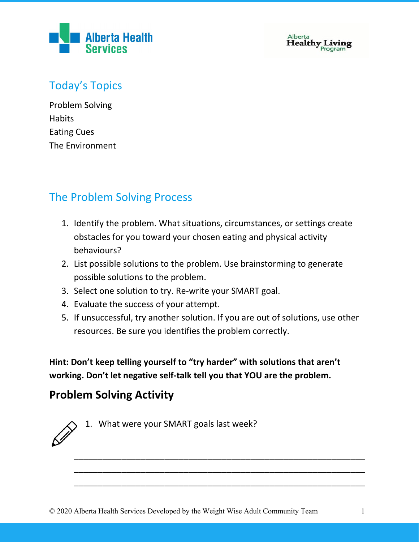

 ${\bf \text{Alberta}}$ <br> ${\bf \text{Healthy}}$   ${\bf \text{ Living}}$   ${\bf \text{Program}}$ 

## Today's Topics

Problem Solving **Habits** Eating Cues The Environment

## The Problem Solving Process

- 1. Identify the problem. What situations, circumstances, or settings create obstacles for you toward your chosen eating and physical activity behaviours?
- 2. List possible solutions to the problem. Use brainstorming to generate possible solutions to the problem.
- 3. Select one solution to try. Re-write your SMART goal.
- 4. Evaluate the success of your attempt.
- 5. If unsuccessful, try another solution. If you are out of solutions, use other resources. Be sure you identifies the problem correctly.

\_\_\_\_\_\_\_\_\_\_\_\_\_\_\_\_\_\_\_\_\_\_\_\_\_\_\_\_\_\_\_\_\_\_\_\_\_\_\_\_\_\_\_\_\_\_\_\_\_\_\_\_\_\_\_\_\_\_\_\_\_ \_\_\_\_\_\_\_\_\_\_\_\_\_\_\_\_\_\_\_\_\_\_\_\_\_\_\_\_\_\_\_\_\_\_\_\_\_\_\_\_\_\_\_\_\_\_\_\_\_\_\_\_\_\_\_\_\_\_\_\_\_ \_\_\_\_\_\_\_\_\_\_\_\_\_\_\_\_\_\_\_\_\_\_\_\_\_\_\_\_\_\_\_\_\_\_\_\_\_\_\_\_\_\_\_\_\_\_\_\_\_\_\_\_\_\_\_\_\_\_\_\_\_

**Hint: Don't keep telling yourself to "try harder" with solutions that aren't working. Don't let negative self-talk tell you that YOU are the problem.**

## **Problem Solving Activity**

1. What were your SMART goals last week?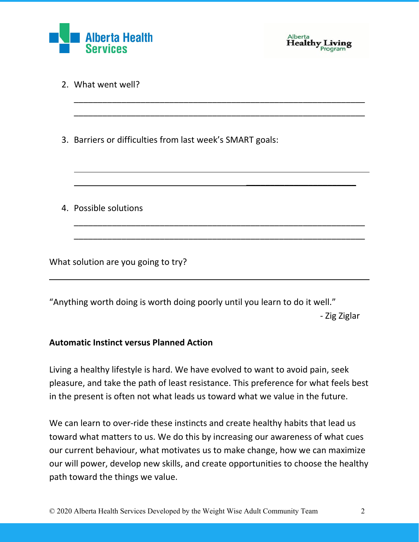



 $\overline{\phantom{a}}$  , where  $\overline{\phantom{a}}$  , where  $\overline{\phantom{a}}$ 

|  | 2. What went well? |  |
|--|--------------------|--|
|--|--------------------|--|

3. Barriers or difficulties from last week's SMART goals:

4. Possible solutions

What solution are you going to try?

"Anything worth doing is worth doing poorly until you learn to do it well." - Zig Ziglar

\_\_\_\_\_\_\_\_\_\_\_\_\_\_\_\_\_\_\_\_\_\_\_\_\_\_\_\_\_\_\_\_\_\_\_\_\_\_\_\_\_\_\_\_\_\_\_\_\_\_\_\_\_\_\_\_\_\_\_\_\_ \_\_\_\_\_\_\_\_\_\_\_\_\_\_\_\_\_\_\_\_\_\_\_\_\_\_\_\_\_\_\_\_\_\_\_\_\_\_\_\_\_\_\_\_\_\_\_\_\_\_\_\_\_\_\_\_\_\_\_\_\_

\_\_\_\_\_\_\_\_\_\_\_\_\_\_\_\_\_\_\_\_\_\_\_\_\_\_\_\_\_\_\_\_\_\_\_\_\_\_\_\_\_\_\_\_\_\_\_\_\_\_\_\_\_\_\_\_\_\_\_\_\_ \_\_\_\_\_\_\_\_\_\_\_\_\_\_\_\_\_\_\_\_\_\_\_\_\_\_\_\_\_\_\_\_\_\_\_\_\_\_\_\_\_\_\_\_\_\_\_\_\_\_\_\_\_\_\_\_\_\_\_\_\_

#### **Automatic Instinct versus Planned Action**

Living a healthy lifestyle is hard. We have evolved to want to avoid pain, seek pleasure, and take the path of least resistance. This preference for what feels best in the present is often not what leads us toward what we value in the future.

We can learn to over-ride these instincts and create healthy habits that lead us toward what matters to us. We do this by increasing our awareness of what cues our current behaviour, what motivates us to make change, how we can maximize our will power, develop new skills, and create opportunities to choose the healthy path toward the things we value.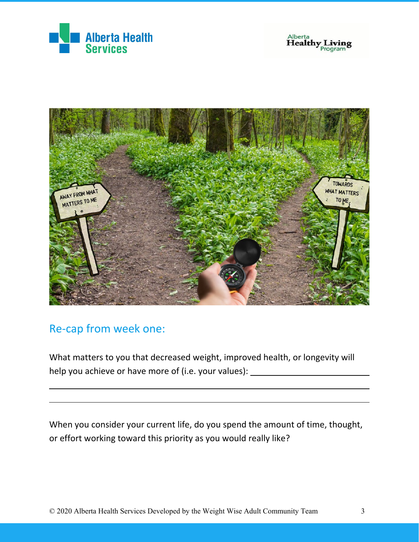





## Re-cap from week one:

What matters to you that decreased weight, improved health, or longevity will help you achieve or have more of (i.e. your values): \_\_\_\_\_\_\_\_\_\_\_\_\_\_\_\_\_\_\_\_\_\_\_\_\_\_\_

When you consider your current life, do you spend the amount of time, thought, or effort working toward this priority as you would really like?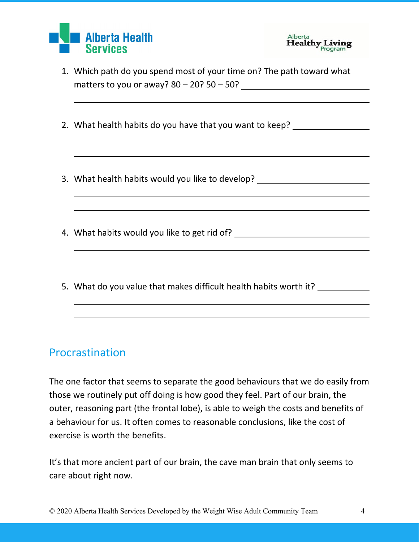



- 1. Which path do you spend most of your time on? The path toward what matters to you or away?  $80 - 20$ ?  $50 - 50$ ?
- 2. What health habits do you have that you want to keep?
- 3. What health habits would you like to develop?
- 4. What habits would you like to get rid of?
- 5. What do you value that makes difficult health habits worth it?

#### Procrastination

The one factor that seems to separate the good behaviours that we do easily from those we routinely put off doing is how good they feel. Part of our brain, the outer, reasoning part (the frontal lobe), is able to weigh the costs and benefits of a behaviour for us. It often comes to reasonable conclusions, like the cost of exercise is worth the benefits.

It's that more ancient part of our brain, the cave man brain that only seems to care about right now.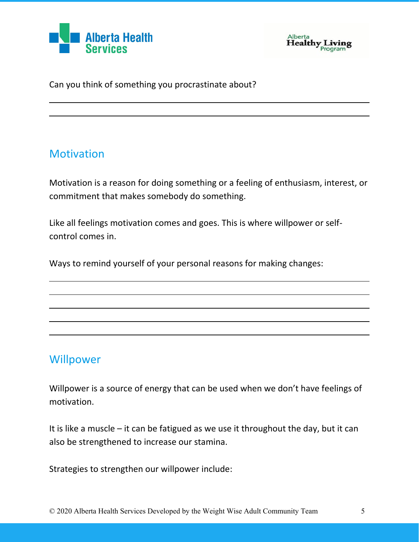



Can you think of something you procrastinate about?

## **Motivation**

Motivation is a reason for doing something or a feeling of enthusiasm, interest, or commitment that makes somebody do something.

Like all feelings motivation comes and goes. This is where willpower or selfcontrol comes in.

Ways to remind yourself of your personal reasons for making changes:

## **Willpower**

Willpower is a source of energy that can be used when we don't have feelings of motivation.

It is like a muscle – it can be fatigued as we use it throughout the day, but it can also be strengthened to increase our stamina.

Strategies to strengthen our willpower include: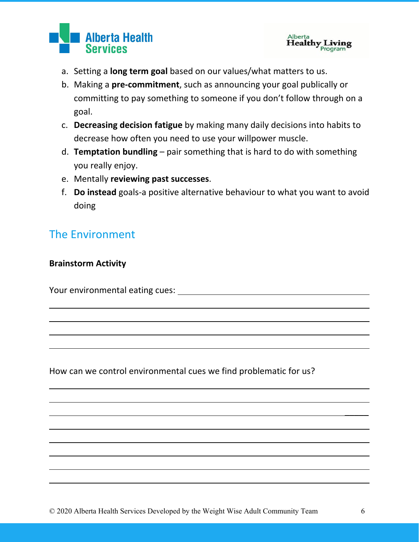



- a. Setting a **long term goal** based on our values/what matters to us.
- b. Making a **pre-commitment**, such as announcing your goal publically or committing to pay something to someone if you don't follow through on a goal.
- c. **Decreasing decision fatigue** by making many daily decisions into habits to decrease how often you need to use your willpower muscle.
- d. **Temptation bundling** pair something that is hard to do with something you really enjoy.
- e. Mentally **reviewing past successes**.
- f. **Do instead** goals-a positive alternative behaviour to what you want to avoid doing

## The Environment

#### **Brainstorm Activity**

Your environmental eating cues:

How can we control environmental cues we find problematic for us?

 $\mathcal{L}$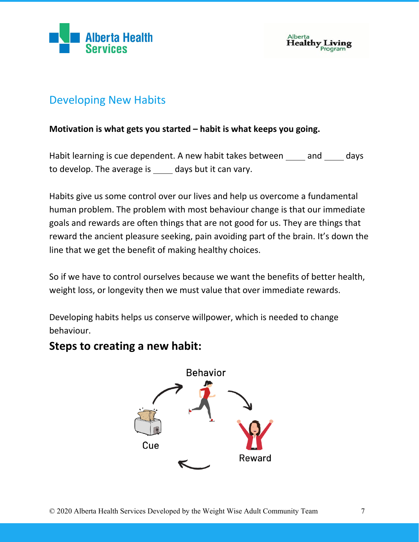



#### Developing New Habits

#### **Motivation is what gets you started – habit is what keeps you going.**

Habit learning is cue dependent. A new habit takes between  $\qquad$  and  $\qquad$  days to develop. The average is  $\qquad$  days but it can vary.

Habits give us some control over our lives and help us overcome a fundamental human problem. The problem with most behaviour change is that our immediate goals and rewards are often things that are not good for us. They are things that reward the ancient pleasure seeking, pain avoiding part of the brain. It's down the line that we get the benefit of making healthy choices.

So if we have to control ourselves because we want the benefits of better health, weight loss, or longevity then we must value that over immediate rewards.

Developing habits helps us conserve willpower, which is needed to change behaviour.

#### **Steps to creating a new habit:**

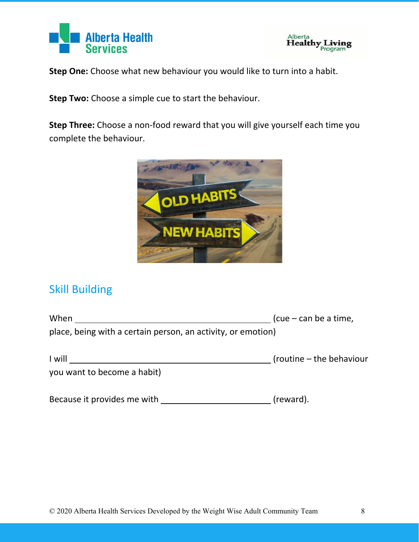



**Step One:** Choose what new behaviour you would like to turn into a habit.

**Step Two:** Choose a simple cue to start the behaviour.

**Step Three:** Choose a non-food reward that you will give yourself each time you complete the behaviour.



## Skill Building

| When                                                         | $(cue - can be a time)$     |
|--------------------------------------------------------------|-----------------------------|
| place, being with a certain person, an activity, or emotion) |                             |
| I will                                                       | $($ routine – the behaviour |
| you want to become a habit)                                  |                             |

Because it provides me with (reward).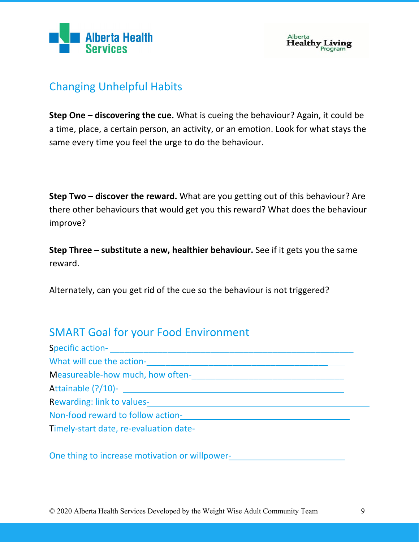



## Changing Unhelpful Habits

**Step One – discovering the cue.** What is cueing the behaviour? Again, it could be a time, place, a certain person, an activity, or an emotion. Look for what stays the same every time you feel the urge to do the behaviour.

**Step Two – discover the reward.** What are you getting out of this behaviour? Are there other behaviours that would get you this reward? What does the behaviour improve?

**Step Three – substitute a new, healthier behaviour.** See if it gets you the same reward.

Alternately, can you get rid of the cue so the behaviour is not triggered?

## SMART Goal for your Food Environment

| Specific action-<br><u> Letting and the contract of the contract of the contract of the contract of the contract of the contract of the contract of the contract of the contract of the contract of the contract of the contract o</u> |  |
|----------------------------------------------------------------------------------------------------------------------------------------------------------------------------------------------------------------------------------------|--|
|                                                                                                                                                                                                                                        |  |
| Measureable-how much, how often-<br>Measureable-how much, how often-                                                                                                                                                                   |  |
|                                                                                                                                                                                                                                        |  |
| Rewarding: link to values-<br><u>Links and the set of the set of the set of the set of the set of the set of the set of the set of the set of the set of the set of the set of the set of the set of the set of the set of the set</u> |  |
| Non-food reward to follow action-<br>Non-food reward to follow action-                                                                                                                                                                 |  |
| Timely-start date, re-evaluation date-                                                                                                                                                                                                 |  |
| One thing to increase motivation or willpower-                                                                                                                                                                                         |  |